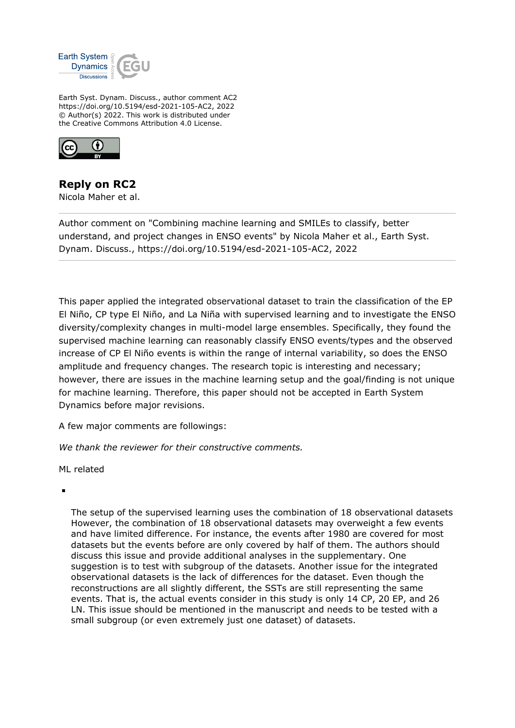

Earth Syst. Dynam. Discuss., author comment AC2 https://doi.org/10.5194/esd-2021-105-AC2, 2022 © Author(s) 2022. This work is distributed under the Creative Commons Attribution 4.0 License.



## **Reply on RC2**

Nicola Maher et al.

Author comment on "Combining machine learning and SMILEs to classify, better understand, and project changes in ENSO events" by Nicola Maher et al., Earth Syst. Dynam. Discuss., https://doi.org/10.5194/esd-2021-105-AC2, 2022

This paper applied the integrated observational dataset to train the classification of the EP El Niño, CP type El Niño, and La Niña with supervised learning and to investigate the ENSO diversity/complexity changes in multi-model large ensembles. Specifically, they found the supervised machine learning can reasonably classify ENSO events/types and the observed increase of CP El Niño events is within the range of internal variability, so does the ENSO amplitude and frequency changes. The research topic is interesting and necessary; however, there are issues in the machine learning setup and the goal/finding is not unique for machine learning. Therefore, this paper should not be accepted in Earth System Dynamics before major revisions.

A few major comments are followings:

*We thank the reviewer for their constructive comments.*

ML related

The setup of the supervised learning uses the combination of 18 observational datasets However, the combination of 18 observational datasets may overweight a few events and have limited difference. For instance, the events after 1980 are covered for most datasets but the events before are only covered by half of them. The authors should discuss this issue and provide additional analyses in the supplementary. One suggestion is to test with subgroup of the datasets. Another issue for the integrated observational datasets is the lack of differences for the dataset. Even though the reconstructions are all slightly different, the SSTs are still representing the same events. That is, the actual events consider in this study is only 14 CP, 20 EP, and 26 LN. This issue should be mentioned in the manuscript and needs to be tested with a small subgroup (or even extremely just one dataset) of datasets.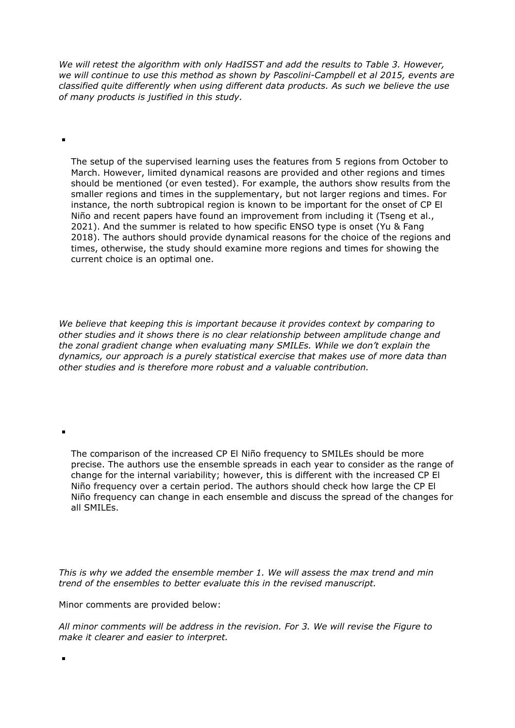*We will retest the algorithm with only HadISST and add the results to Table 3. However, we will continue to use this method as shown by Pascolini-Campbell et al 2015, events are classified quite differently when using different data products. As such we believe the use of many products is justified in this study.* 

The setup of the supervised learning uses the features from 5 regions from October to March. However, limited dynamical reasons are provided and other regions and times should be mentioned (or even tested). For example, the authors show results from the smaller regions and times in the supplementary, but not larger regions and times. For instance, the north subtropical region is known to be important for the onset of CP El Niño and recent papers have found an improvement from including it (Tseng et al., 2021). And the summer is related to how specific ENSO type is onset (Yu & Fang 2018). The authors should provide dynamical reasons for the choice of the regions and times, otherwise, the study should examine more regions and times for showing the current choice is an optimal one.

*We believe that keeping this is important because it provides context by comparing to other studies and it shows there is no clear relationship between amplitude change and the zonal gradient change when evaluating many SMILEs. While we don't explain the dynamics, our approach is a purely statistical exercise that makes use of more data than other studies and is therefore more robust and a valuable contribution.*

The comparison of the increased CP El Niño frequency to SMILEs should be more precise. The authors use the ensemble spreads in each year to consider as the range of change for the internal variability; however, this is different with the increased CP El Niño frequency over a certain period. The authors should check how large the CP El Niño frequency can change in each ensemble and discuss the spread of the changes for all SMILEs.

*This is why we added the ensemble member 1. We will assess the max trend and min trend of the ensembles to better evaluate this in the revised manuscript.* 

Minor comments are provided below:

ř.

÷

 $\blacksquare$ 

*All minor comments will be address in the revision. For 3. We will revise the Figure to make it clearer and easier to interpret.*